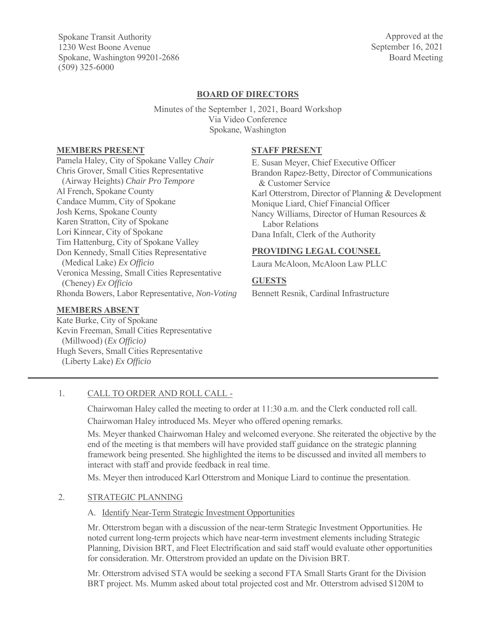Spokane Transit Authority 1230 West Boone Avenue Spokane, Washington 99201-2686 (509) 325-6000

Approved at the September 16, 2021 Board Meeting

# **BOARD OF DIRECTORS**

Minutes of the September 1, 2021, Board Workshop Via Video Conference Spokane, Washington

### **MEMBERS PRESENT**

Pamela Haley, City of Spokane Valley *Chair*  Chris Grover, Small Cities Representative (Airway Heights) *Chair Pro Tempore*  Al French, Spokane County Candace Mumm, City of Spokane Josh Kerns, Spokane County Karen Stratton, City of Spokane Lori Kinnear, City of Spokane Tim Hattenburg, City of Spokane Valley Don Kennedy, Small Cities Representative (Medical Lake) *Ex Officio* Veronica Messing, Small Cities Representative (Cheney) *Ex Officio*  Rhonda Bowers, Labor Representative, *Non-Voting* 

#### **MEMBERS ABSENT**

Kate Burke, City of Spokane Kevin Freeman, Small Cities Representative (Millwood) (*Ex Officio)*  Hugh Severs, Small Cities Representative (Liberty Lake) *Ex Officio*

#### **STAFF PRESENT**

E. Susan Meyer, Chief Executive Officer Brandon Rapez-Betty, Director of Communications & Customer Service Karl Otterstrom, Director of Planning & Development Monique Liard, Chief Financial Officer Nancy Williams, Director of Human Resources & Labor Relations Dana Infalt, Clerk of the Authority

### **PROVIDING LEGAL COUNSEL**

Laura McAloon, McAloon Law PLLC

### **GUESTS**

Bennett Resnik, Cardinal Infrastructure

### 1. CALL TO ORDER AND ROLL CALL -

Chairwoman Haley called the meeting to order at 11:30 a.m. and the Clerk conducted roll call.

Chairwoman Haley introduced Ms. Meyer who offered opening remarks.

Ms. Meyer thanked Chairwoman Haley and welcomed everyone. She reiterated the objective by the end of the meeting is that members will have provided staff guidance on the strategic planning framework being presented. She highlighted the items to be discussed and invited all members to interact with staff and provide feedback in real time.

Ms. Meyer then introduced Karl Otterstrom and Monique Liard to continue the presentation.

# 2. STRATEGIC PLANNING

### A. Identify Near-Term Strategic Investment Opportunities

Mr. Otterstrom began with a discussion of the near-term Strategic Investment Opportunities. He noted current long-term projects which have near-term investment elements including Strategic Planning, Division BRT, and Fleet Electrification and said staff would evaluate other opportunities for consideration. Mr. Otterstrom provided an update on the Division BRT.

Mr. Otterstrom advised STA would be seeking a second FTA Small Starts Grant for the Division BRT project. Ms. Mumm asked about total projected cost and Mr. Otterstrom advised \$120M to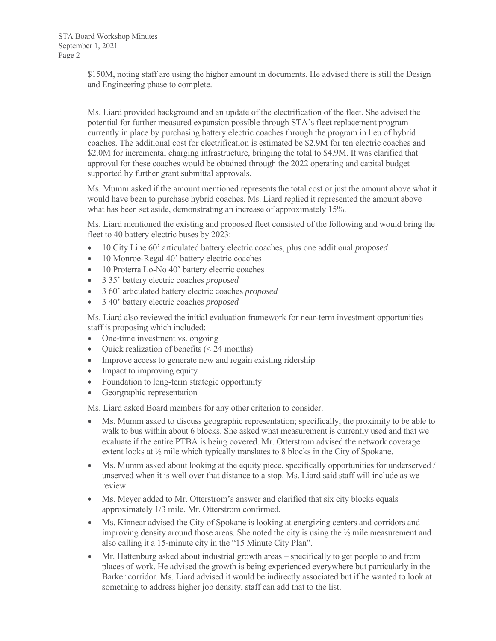STA Board Workshop Minutes September 1, 2021 Page 2

> \$150M, noting staff are using the higher amount in documents. He advised there is still the Design and Engineering phase to complete.

Ms. Liard provided background and an update of the electrification of the fleet. She advised the potential for further measured expansion possible through STA's fleet replacement program currently in place by purchasing battery electric coaches through the program in lieu of hybrid coaches. The additional cost for electrification is estimated be \$2.9M for ten electric coaches and \$2.0M for incremental charging infrastructure, bringing the total to \$4.9M. It was clarified that approval for these coaches would be obtained through the 2022 operating and capital budget supported by further grant submittal approvals.

Ms. Mumm asked if the amount mentioned represents the total cost or just the amount above what it would have been to purchase hybrid coaches. Ms. Liard replied it represented the amount above what has been set aside, demonstrating an increase of approximately 15%.

Ms. Liard mentioned the existing and proposed fleet consisted of the following and would bring the fleet to 40 battery electric buses by 2023:

- x 10 City Line 60' articulated battery electric coaches, plus one additional *proposed*
- 10 Monroe-Regal 40' battery electric coaches
- 10 Proterra Lo-No 40' battery electric coaches
- x 3 35' battery electric coaches *proposed*
- x 3 60' articulated battery electric coaches *proposed*
- x 3 40' battery electric coaches *proposed*

Ms. Liard also reviewed the initial evaluation framework for near-term investment opportunities staff is proposing which included:

- One-time investment vs. ongoing
- Quick realization of benefits  $(< 24$  months)
- Improve access to generate new and regain existing ridership
- $\bullet$  Impact to improving equity
- Foundation to long-term strategic opportunity
- Georgraphic representation

Ms. Liard asked Board members for any other criterion to consider.

- $\bullet$  Ms. Mumm asked to discuss geographic representation; specifically, the proximity to be able to walk to bus within about 6 blocks. She asked what measurement is currently used and that we evaluate if the entire PTBA is being covered. Mr. Otterstrom advised the network coverage extent looks at ½ mile which typically translates to 8 blocks in the City of Spokane.
- $\bullet$  Ms. Mumm asked about looking at the equity piece, specifically opportunities for underserved / unserved when it is well over that distance to a stop. Ms. Liard said staff will include as we review.
- Ms. Meyer added to Mr. Otterstrom's answer and clarified that six city blocks equals approximately 1/3 mile. Mr. Otterstrom confirmed.
- Ms. Kinnear advised the City of Spokane is looking at energizing centers and corridors and improving density around those areas. She noted the city is using the ½ mile measurement and also calling it a 15-minute city in the "15 Minute City Plan".
- Mr. Hattenburg asked about industrial growth areas specifically to get people to and from places of work. He advised the growth is being experienced everywhere but particularly in the Barker corridor. Ms. Liard advised it would be indirectly associated but if he wanted to look at something to address higher job density, staff can add that to the list.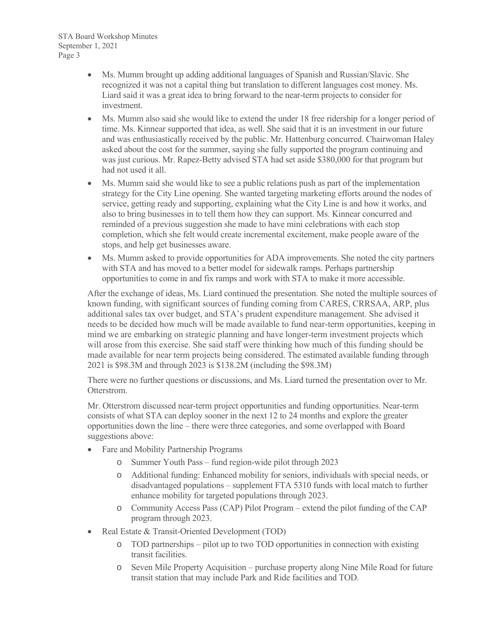STA Board Workshop Minutes September 1, 2021 Page 3

- Ms. Mumm brought up adding additional languages of Spanish and Russian/Slavic. She recognized it was not a capital thing but translation to different languages cost money. Ms. Liard said it was a great idea to bring forward to the near-term projects to consider for investment.
- Ms. Mumm also said she would like to extend the under 18 free ridership for a longer period of time. Ms. Kinnear supported that idea, as well. She said that it is an investment in our future and was enthusiastically received by the public. Mr. Hattenburg concurred. Chairwoman Haley asked about the cost for the summer, saying she fully supported the program continuing and was just curious. Mr. Rapez-Betty advised STA had set aside \$380,000 for that program but had not used it all.
- Ms. Mumm said she would like to see a public relations push as part of the implementation strategy for the City Line opening. She wanted targeting marketing efforts around the nodes of service, getting ready and supporting, explaining what the City Line is and how it works, and also to bring businesses in to tell them how they can support. Ms. Kinnear concurred and reminded of a previous suggestion she made to have mini celebrations with each stop completion, which she felt would create incremental excitement, make people aware of the stops, and help get businesses aware.
- Ms. Mumm asked to provide opportunities for ADA improvements. She noted the city partners with STA and has moved to a better model for sidewalk ramps. Perhaps partnership opportunities to come in and fix ramps and work with STA to make it more accessible.

After the exchange of ideas, Ms. Liard continued the presentation. She noted the multiple sources of known funding, with significant sources of funding coming from CARES, CRRSAA, ARP, plus additional sales tax over budget, and STA's prudent expenditure management. She advised it needs to be decided how much will be made available to fund near-term opportunities, keeping in mind we are embarking on strategic planning and have longer-term investment projects which will arose from this exercise. She said staff were thinking how much of this funding should be made available for near term projects being considered. The estimated available funding through 2021 is \$98.3M and through 2023 is \$138.2M (including the \$98.3M)

There were no further questions or discussions, and Ms. Liard turned the presentation over to Mr. Otterstrom.

Mr. Otterstrom discussed near-term project opportunities and funding opportunities. Near-term consists of what STA can deploy sooner in the next 12 to 24 months and explore the greater opportunities down the line – there were three categories, and some overlapped with Board suggestions above:

- Fare and Mobility Partnership Programs
	- o Summer Youth Pass fund region-wide pilot through 2023
	- o Additional funding: Enhanced mobility for seniors, individuals with special needs, or disadvantaged populations – supplement FTA 5310 funds with local match to further enhance mobility for targeted populations through 2023.
	- o Community Access Pass (CAP) Pilot Program extend the pilot funding of the CAP program through 2023.
- Real Estate & Transit-Oriented Development (TOD)
	- o TOD partnerships pilot up to two TOD opportunities in connection with existing transit facilities.
	- o Seven Mile Property Acquisition purchase property along Nine Mile Road for future transit station that may include Park and Ride facilities and TOD.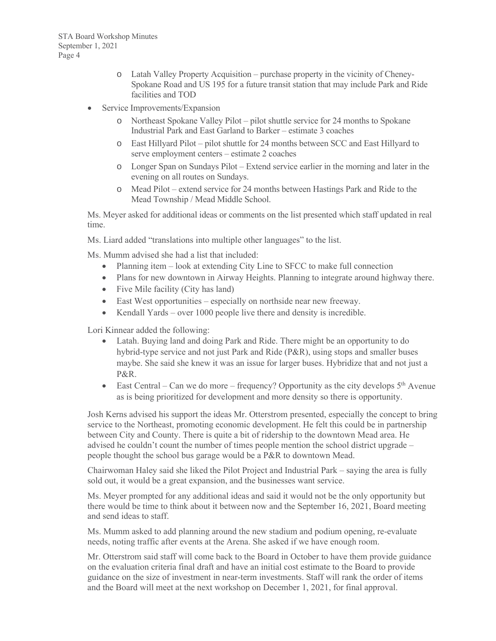- o Latah Valley Property Acquisition purchase property in the vicinity of Cheney-Spokane Road and US 195 for a future transit station that may include Park and Ride facilities and TOD
- Service Improvements/Expansion
	- o Northeast Spokane Valley Pilot pilot shuttle service for 24 months to Spokane Industrial Park and East Garland to Barker – estimate 3 coaches
	- o East Hillyard Pilot pilot shuttle for 24 months between SCC and East Hillyard to serve employment centers – estimate 2 coaches
	- o Longer Span on Sundays Pilot Extend service earlier in the morning and later in the evening on all routes on Sundays.
	- o Mead Pilot extend service for 24 months between Hastings Park and Ride to the Mead Township / Mead Middle School.

Ms. Meyer asked for additional ideas or comments on the list presented which staff updated in real time.

Ms. Liard added "translations into multiple other languages" to the list.

Ms. Mumm advised she had a list that included:

- Planning item look at extending City Line to SFCC to make full connection
- Plans for new downtown in Airway Heights. Planning to integrate around highway there.
- $\bullet$  Five Mile facility (City has land)
- East West opportunities especially on northside near new freeway.
- Kendall Yards over 1000 people live there and density is incredible.

Lori Kinnear added the following:

- Latah. Buying land and doing Park and Ride. There might be an opportunity to do hybrid-type service and not just Park and Ride (P&R), using stops and smaller buses maybe. She said she knew it was an issue for larger buses. Hybridize that and not just a P&R.
- East Central Can we do more frequency? Opportunity as the city develops  $5<sup>th</sup>$  Avenue as is being prioritized for development and more density so there is opportunity.

Josh Kerns advised his support the ideas Mr. Otterstrom presented, especially the concept to bring service to the Northeast, promoting economic development. He felt this could be in partnership between City and County. There is quite a bit of ridership to the downtown Mead area. He advised he couldn't count the number of times people mention the school district upgrade – people thought the school bus garage would be a P&R to downtown Mead.

Chairwoman Haley said she liked the Pilot Project and Industrial Park – saying the area is fully sold out, it would be a great expansion, and the businesses want service.

Ms. Meyer prompted for any additional ideas and said it would not be the only opportunity but there would be time to think about it between now and the September 16, 2021, Board meeting and send ideas to staff.

Ms. Mumm asked to add planning around the new stadium and podium opening, re-evaluate needs, noting traffic after events at the Arena. She asked if we have enough room.

Mr. Otterstrom said staff will come back to the Board in October to have them provide guidance on the evaluation criteria final draft and have an initial cost estimate to the Board to provide guidance on the size of investment in near-term investments. Staff will rank the order of items and the Board will meet at the next workshop on December 1, 2021, for final approval.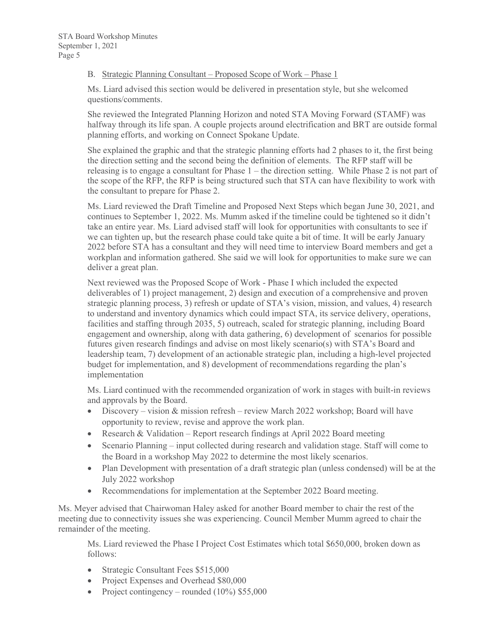### B. Strategic Planning Consultant – Proposed Scope of Work – Phase 1

Ms. Liard advised this section would be delivered in presentation style, but she welcomed questions/comments.

She reviewed the Integrated Planning Horizon and noted STA Moving Forward (STAMF) was halfway through its life span. A couple projects around electrification and BRT are outside formal planning efforts, and working on Connect Spokane Update.

She explained the graphic and that the strategic planning efforts had 2 phases to it, the first being the direction setting and the second being the definition of elements. The RFP staff will be releasing is to engage a consultant for Phase 1 – the direction setting. While Phase 2 is not part of the scope of the RFP, the RFP is being structured such that STA can have flexibility to work with the consultant to prepare for Phase 2.

Ms. Liard reviewed the Draft Timeline and Proposed Next Steps which began June 30, 2021, and continues to September 1, 2022. Ms. Mumm asked if the timeline could be tightened so it didn't take an entire year. Ms. Liard advised staff will look for opportunities with consultants to see if we can tighten up, but the research phase could take quite a bit of time. It will be early January 2022 before STA has a consultant and they will need time to interview Board members and get a workplan and information gathered. She said we will look for opportunities to make sure we can deliver a great plan.

Next reviewed was the Proposed Scope of Work - Phase I which included the expected deliverables of 1) project management, 2) design and execution of a comprehensive and proven strategic planning process, 3) refresh or update of STA's vision, mission, and values, 4) research to understand and inventory dynamics which could impact STA, its service delivery, operations, facilities and staffing through 2035, 5) outreach, scaled for strategic planning, including Board engagement and ownership, along with data gathering, 6) development of scenarios for possible futures given research findings and advise on most likely scenario(s) with STA's Board and leadership team, 7) development of an actionable strategic plan, including a high-level projected budget for implementation, and 8) development of recommendations regarding the plan's implementation

Ms. Liard continued with the recommended organization of work in stages with built-in reviews and approvals by the Board.

- Discovery vision & mission refresh review March 2022 workshop; Board will have opportunity to review, revise and approve the work plan.
- Research & Validation Report research findings at April 2022 Board meeting
- $\bullet$  Scenario Planning input collected during research and validation stage. Staff will come to the Board in a workshop May 2022 to determine the most likely scenarios.
- Plan Development with presentation of a draft strategic plan (unless condensed) will be at the July 2022 workshop
- Recommendations for implementation at the September 2022 Board meeting.

Ms. Meyer advised that Chairwoman Haley asked for another Board member to chair the rest of the meeting due to connectivity issues she was experiencing. Council Member Mumm agreed to chair the remainder of the meeting.

Ms. Liard reviewed the Phase I Project Cost Estimates which total \$650,000, broken down as follows:

- Strategic Consultant Fees \$515,000
- Project Expenses and Overhead \$80,000
- Project contingency rounded  $(10\%)$  \$55,000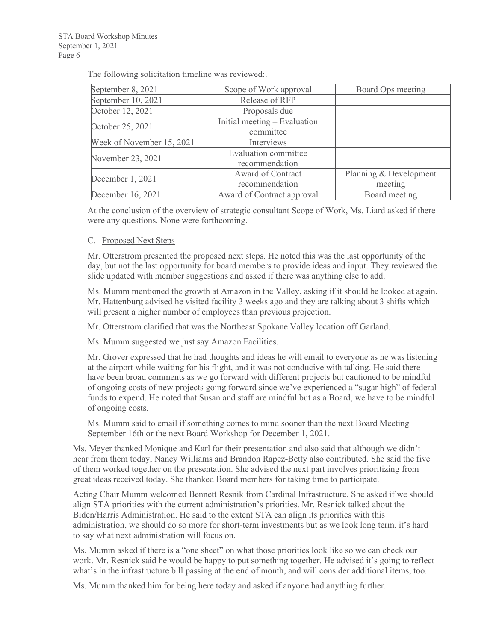The following solicitation timeline was reviewed:.

| September 8, 2021         | Scope of Work approval       | Board Ops meeting      |
|---------------------------|------------------------------|------------------------|
| September 10, 2021        | Release of RFP               |                        |
| October 12, 2021          | Proposals due                |                        |
| October 25, 2021          | Initial meeting – Evaluation |                        |
|                           | committee                    |                        |
| Week of November 15, 2021 | Interviews                   |                        |
| November 23, 2021         | Evaluation committee         |                        |
|                           | recommendation               |                        |
| December 1, 2021          | <b>Award of Contract</b>     | Planning & Development |
|                           | recommendation               | meeting                |
| December 16, 2021         | Award of Contract approval   | Board meeting          |

At the conclusion of the overview of strategic consultant Scope of Work, Ms. Liard asked if there were any questions. None were forthcoming.

# C. Proposed Next Steps

Mr. Otterstrom presented the proposed next steps. He noted this was the last opportunity of the day, but not the last opportunity for board members to provide ideas and input. They reviewed the slide updated with member suggestions and asked if there was anything else to add.

Ms. Mumm mentioned the growth at Amazon in the Valley, asking if it should be looked at again. Mr. Hattenburg advised he visited facility 3 weeks ago and they are talking about 3 shifts which will present a higher number of employees than previous projection.

Mr. Otterstrom clarified that was the Northeast Spokane Valley location off Garland.

Ms. Mumm suggested we just say Amazon Facilities.

Mr. Grover expressed that he had thoughts and ideas he will email to everyone as he was listening at the airport while waiting for his flight, and it was not conducive with talking. He said there have been broad comments as we go forward with different projects but cautioned to be mindful of ongoing costs of new projects going forward since we've experienced a "sugar high" of federal funds to expend. He noted that Susan and staff are mindful but as a Board, we have to be mindful of ongoing costs.

Ms. Mumm said to email if something comes to mind sooner than the next Board Meeting September 16th or the next Board Workshop for December 1, 2021.

Ms. Meyer thanked Monique and Karl for their presentation and also said that although we didn't hear from them today, Nancy Williams and Brandon Rapez-Betty also contributed. She said the five of them worked together on the presentation. She advised the next part involves prioritizing from great ideas received today. She thanked Board members for taking time to participate.

Acting Chair Mumm welcomed Bennett Resnik from Cardinal Infrastructure. She asked if we should align STA priorities with the current administration's priorities. Mr. Resnick talked about the Biden/Harris Administration. He said to the extent STA can align its priorities with this administration, we should do so more for short-term investments but as we look long term, it's hard to say what next administration will focus on.

Ms. Mumm asked if there is a "one sheet" on what those priorities look like so we can check our work. Mr. Resnick said he would be happy to put something together. He advised it's going to reflect what's in the infrastructure bill passing at the end of month, and will consider additional items, too.

Ms. Mumm thanked him for being here today and asked if anyone had anything further.